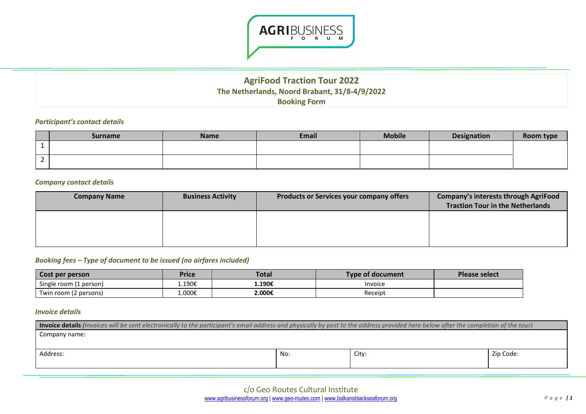

# **AgriFood Traction Tour 2022 The Netherlands, Noord Brabant, 31/8-4/9/2022 Booking Form**

### *Participant's contact details*

| <b>Surname</b> | <b>Name</b> | <b>Email</b> | <b>Mobile</b> | Designation | Room type |
|----------------|-------------|--------------|---------------|-------------|-----------|
|                |             |              |               |             |           |
|                |             |              |               |             |           |

### *Company contact details*

| <b>Company Name</b> | <b>Business Activity</b> | <b>Products or Services your company offers</b> | <b>Company's interests through AgriFood</b><br><b>Traction Tour in the Netherlands</b> |
|---------------------|--------------------------|-------------------------------------------------|----------------------------------------------------------------------------------------|
|                     |                          |                                                 |                                                                                        |
|                     |                          |                                                 |                                                                                        |

## *Booking fees – Type of document to be issued (no airfares included)*

| Cost per person        | Price  | <b>Total</b> | Type of document | Please select |
|------------------------|--------|--------------|------------------|---------------|
| Single room (1 person) | 1.190€ | 1.190€       | Invoice          |               |
| Twin room (2 persons)  | 1.000€ | 2.000€       | Receipt          |               |

### *Invoice details*

| <b>Invoice details</b> (Invoices will be sent electronically to the participant's email address and physically by post to the address provided here below after the completion of the tour) |     |       |           |  |
|---------------------------------------------------------------------------------------------------------------------------------------------------------------------------------------------|-----|-------|-----------|--|
| Company name:                                                                                                                                                                               |     |       |           |  |
|                                                                                                                                                                                             |     |       |           |  |
| Address:                                                                                                                                                                                    | No: | City: | Zip Code: |  |
|                                                                                                                                                                                             |     |       |           |  |